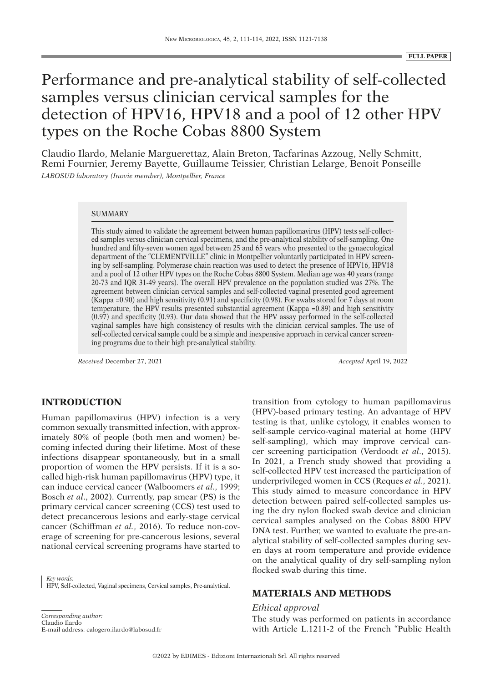# Performance and pre-analytical stability of self-collected samples versus clinician cervical samples for the detection of HPV16, HPV18 and a pool of 12 other HPV types on the Roche Cobas 8800 System

Claudio Ilardo, Melanie Marguerettaz, Alain Breton, Tacfarinas Azzoug, Nelly Schmitt, Remi Fournier, Jeremy Bayette, Guillaume Teissier, Christian Lelarge, Benoit Ponseille *LABOSUD laboratory (Inovie member), Montpellier, France*

### **SUMMARY**

This study aimed to validate the agreement between human papillomavirus (HPV) tests self-collected samples versus clinician cervical specimens, and the pre-analytical stability of self-sampling. One hundred and fifty-seven women aged between 25 and 65 years who presented to the gynaecological department of the "CLEMENTVILLE" clinic in Montpellier voluntarily participated in HPV screening by self-sampling. Polymerase chain reaction was used to detect the presence of HPV16, HPV18 and a pool of 12 other HPV types on the Roche Cobas 8800 System. Median age was 40 years (range 20-73 and IQR 31-49 years). The overall HPV prevalence on the population studied was 27%. The agreement between clinician cervical samples and self-collected vaginal presented good agreement (Kappa =0.90) and high sensitivity (0.91) and specificity (0.98). For swabs stored for 7 days at room temperature, the HPV results presented substantial agreement (Kappa =0.89) and high sensitivity (0.97) and specificity (0.93). Our data showed that the HPV assay performed in the self-collected vaginal samples have high consistency of results with the clinician cervical samples. The use of self-collected cervical sample could be a simple and inexpensive approach in cervical cancer screening programs due to their high pre-analytical stability.

*Received* December 27, 2021 *Accepted* April 19, 2022

# **INTRODUCTION**

Human papillomavirus (HPV) infection is a very common sexually transmitted infection, with approximately 80% of people (both men and women) becoming infected during their lifetime. Most of these infections disappear spontaneously, but in a small proportion of women the HPV persists. If it is a socalled high-risk human papillomavirus (HPV) type, it can induce cervical cancer (Walboomers *et al*., 1999; Bosch *et al*., 2002). Currently, pap smear (PS) is the primary cervical cancer screening (CCS) test used to detect precancerous lesions and early-stage cervical cancer (Schiffman *et al.*, 2016). To reduce non-coverage of screening for pre-cancerous lesions, several national cervical screening programs have started to

*Key words:* HPV, Self-collected, Vaginal specimens, Cervical samples, Pre-analytical.

*Corresponding author:*

Claudio Ilardo E-mail address: calogero.ilardo@labosud.fr transition from cytology to human papillomavirus (HPV)-based primary testing. An advantage of HPV testing is that, unlike cytology, it enables women to self-sample cervico-vaginal material at home (HPV self-sampling), which may improve cervical cancer screening participation (Verdoodt *et al*., 2015). In 2021, a French study showed that providing a self-collected HPV test increased the participation of underprivileged women in CCS (Reques *et al.*, 2021). This study aimed to measure concordance in HPV detection between paired self-collected samples using the dry nylon flocked swab device and clinician cervical samples analysed on the Cobas 8800 HPV DNA test. Further, we wanted to evaluate the pre-analytical stability of self-collected samples during seven days at room temperature and provide evidence on the analytical quality of dry self-sampling nylon flocked swab during this time.

# **MATERIALS AND METHODS**

#### *Ethical approval*

The study was performed on patients in accordance with Article L.1211-2 of the French "Public Health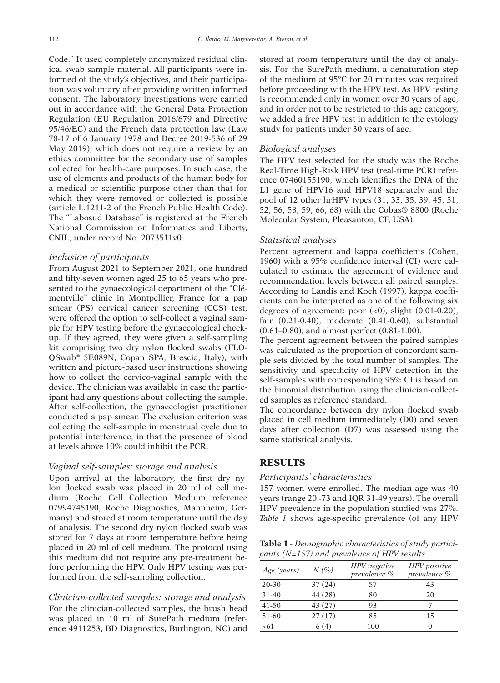Code." It used completely anonymized residual clinical swab sample material. All participants were informed of the study's objectives, and their participation was voluntary after providing written informed consent. The laboratory investigations were carried out in accordance with the General Data Protection Regulation (EU Regulation 2016/679 and Directive 95/46/EC) and the French data protection law (Law 78-17 of 6 January 1978 and Decree 2019-536 of 29 May 2019), which does not require a review by an ethics committee for the secondary use of samples collected for health-care purposes. In such case, the use of elements and products of the human body for a medical or scientific purpose other than that for which they were removed or collected is possible (article L.1211-2 of the French Public Health Code). The "Labosud Database" is registered at the French National Commission on Informatics and Liberty, CNIL, under record No. 2073511v0.

## *Inclusion of participants*

From August 2021 to September 2021, one hundred and fifty-seven women aged 25 to 65 years who presented to the gynaecological department of the "Clémentville" clinic in Montpellier, France for a pap smear (PS) cervical cancer screening (CCS) test, were offered the option to self-collect a vaginal sample for HPV testing before the gynaecological checkup. If they agreed, they were given a self-sampling kit comprising two dry nylon flocked swabs (FLO-QSwab® 5E089N, Copan SPA, Brescia, Italy), with written and picture-based user instructions showing how to collect the cervico-vaginal sample with the device. The clinician was available in case the participant had any questions about collecting the sample. After self-collection, the gynaecologist practitioner conducted a pap smear. The exclusion criterion was collecting the self-sample in menstrual cycle due to potential interference, in that the presence of blood at levels above 10% could inhibit the PCR.

## *Vaginal self-samples: storage and analysis*

Upon arrival at the laboratory, the first dry nylon flocked swab was placed in 20 ml of cell medium (Roche Cell Collection Medium reference 07994745190, Roche Diagnostics, Mannheim, Germany) and stored at room temperature until the day of analysis. The second dry nylon flocked swab was stored for 7 days at room temperature before being placed in 20 ml of cell medium. The protocol using this medium did not require any pre-treatment before performing the HPV. Only HPV testing was performed from the self-sampling collection.

*Clinician-collected samples: storage and analysis*  For the clinician-collected samples, the brush head was placed in 10 ml of SurePath medium (reference 4911253, BD Diagnostics, Burlington, NC) and stored at room temperature until the day of analysis. For the SurePath medium, a denaturation step of the medium at 95°C for 20 minutes was required before proceeding with the HPV test. As HPV testing is recommended only in women over 30 years of age, and in order not to be restricted to this age category, we added a free HPV test in addition to the cytology study for patients under 30 years of age.

#### *Biological analyses*

The HPV test selected for the study was the Roche Real-Time High-Risk HPV test (real-time PCR) reference 07460155190, which identifies the DNA of the L1 gene of HPV16 and HPV18 separately and the pool of 12 other hrHPV types (31, 33, 35, 39, 45, 51, 52, 56, 58, 59, 66, 68) with the Cobas® 8800 (Roche Molecular System, Pleasanton, CF, USA).

#### *Statistical analyses*

Percent agreement and kappa coefficients (Cohen, 1960) with a 95% confidence interval (CI) were calculated to estimate the agreement of evidence and recommendation levels between all paired samples. According to Landis and Koch (1997), kappa coefficients can be interpreted as one of the following six degrees of agreement: poor  $( $0$ ), slight  $(0.01-0.20)$ ,$ fair (0.21-0.40), moderate (0.41-0.60), substantial (0.61–0.80), and almost perfect (0.81-1.00).

The percent agreement between the paired samples was calculated as the proportion of concordant sample sets divided by the total number of samples. The sensitivity and specificity of HPV detection in the self-samples with corresponding 95% CI is based on the binomial distribution using the clinician-collected samples as reference standard.

The concordance between dry nylon flocked swab placed in cell medium immediately (D0) and seven days after collection (D7) was assessed using the same statistical analysis.

## **RESULTS**

#### *Participants' characteristics*

157 women were enrolled. The median age was 40 years (range 20 -73 and IQR 31-49 years). The overall HPV prevalence in the population studied was 27%. *Table 1* shows age-specific prevalence (of any HPV

**Table 1** *- Demographic characteristics of study participants (N=157) and prevalence of HPV results.*

| Age (years) | $N(\%)$ | HPV negative<br>prevalence % | <b>HPV</b> positive<br>prevalence % |  |  |
|-------------|---------|------------------------------|-------------------------------------|--|--|
| 20-30       | 37(24)  | 57                           | 43                                  |  |  |
| $31 - 40$   | 44 (28) | 80                           | 20                                  |  |  |
| $41 - 50$   | 43(27)  | 93                           |                                     |  |  |
| 51-60       | 27(17)  | 85                           | 15                                  |  |  |
| >61         | 6(4)    | 100                          | 0                                   |  |  |
|             |         |                              |                                     |  |  |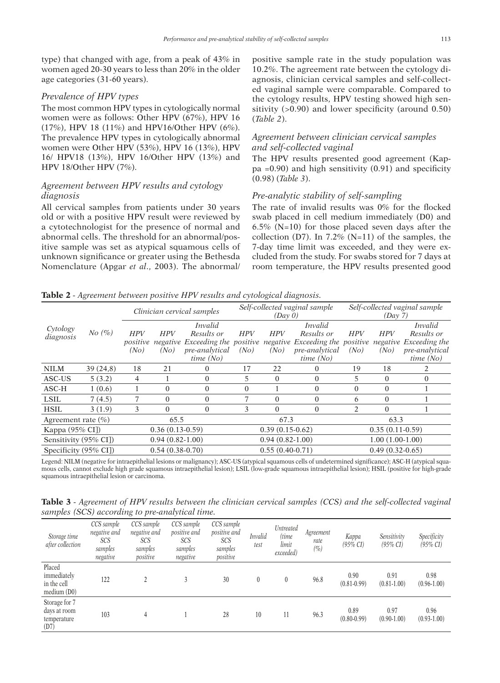type) that changed with age, from a peak of 43% in women aged 20-30 years to less than 20% in the older age categories (31-60 years).

## *Prevalence of HPV types*

The most common HPV types in cytologically normal women were as follows: Other HPV (67%), HPV 16 (17%), HPV 18 (11%) and HPV16/Other HPV (6%). The prevalence HPV types in cytologically abnormal women were Other HPV (53%), HPV 16 (13%), HPV 16/ HPV18 (13%), HPV 16/Other HPV (13%) and HPV 18/Other HPV (7%).

# *Agreement between HPV results and cytology diagnosis*

All cervical samples from patients under 30 years old or with a positive HPV result were reviewed by a cytotechnologist for the presence of normal and abnormal cells. The threshold for an abnormal/positive sample was set as atypical squamous cells of unknown significance or greater using the Bethesda Nomenclature (Apgar *et al*., 2003). The abnormal/ positive sample rate in the study population was 10.2%. The agreement rate between the cytology diagnosis, clinician cervical samples and self-collected vaginal sample were comparable. Compared to the cytology results, HPV testing showed high sensitivity  $(0.90)$  and lower specificity (around 0.50) (*Table 2*).

# *Agreement between clinician cervical samples and self-collected vaginal*

The HPV results presented good agreement (Kappa =0.90) and high sensitivity  $(0.91)$  and specificity (0.98) (*Table 3*).

## *Pre-analytic stability of self-sampling*

The rate of invalid results was 0% for the flocked swab placed in cell medium immediately (D0) and 6.5% ( $N=10$ ) for those placed seven days after the collection (D7). In  $7.2\%$  (N=11) of the samples, the 7-day time limit was exceeded, and they were excluded from the study. For swabs stored for 7 days at room temperature, the HPV results presented good

**Table 2** *- Agreement between positive HPV results and cytological diagnosis.*

| Cytology<br>diagnosis  | No (%)   | Clinician cervical samples |                   |                                 |            | (Dav 0)           | Self-collected vaginal sample   | Self-collected vaginal sample<br>(Day 7) |                   |                        |  |
|------------------------|----------|----------------------------|-------------------|---------------------------------|------------|-------------------|---------------------------------|------------------------------------------|-------------------|------------------------|--|
|                        |          |                            |                   | <i>Invalid</i>                  |            |                   | <i>Invalid</i>                  |                                          | <i>Invalid</i>    |                        |  |
|                        |          | <b>HPV</b>                 | <b>HPV</b>        | Results or                      | <b>HPV</b> | <b>HPV</b>        | Results or                      | <b>HPV</b>                               | <b>HPV</b>        | Results or             |  |
|                        |          | positive                   |                   | negative Exceeding the positive |            |                   | negative Exceeding the positive |                                          |                   | negative Exceeding the |  |
|                        |          | (No)                       | (No)              | pre-analytical                  | (No)       | (No)              | pre-analytical                  | (No)                                     | (No)              | pre-analytical         |  |
|                        |          |                            |                   | time(No)                        |            |                   | time(No)                        |                                          |                   | time $(No)$            |  |
| <b>NILM</b>            | 39(24,8) | 18                         | 21                | 0                               | 17         | 22                | $\Omega$                        | 19                                       | 18                | 2                      |  |
| ASC-US                 | 5(3.2)   | 4                          |                   | $\Omega$                        | 5          | $\Omega$          | $\Omega$                        | 5                                        | $\theta$          | $\Omega$               |  |
| ASC-H                  | 1(0.6)   |                            | $\Omega$          | $\Omega$                        | $\Omega$   |                   | $\mathbf{0}$                    | $\Omega$                                 | $\Omega$          |                        |  |
| <b>LSIL</b>            | 7(4.5)   |                            | $\Omega$          | $\theta$                        |            | $\Omega$          | $\Omega$                        | 6                                        | $\theta$          |                        |  |
| <b>HSIL</b>            | 3(1.9)   | 3                          | $\Omega$          | $\theta$                        | 3          | $\Omega$          | $\Omega$                        | 2                                        | $\Omega$          |                        |  |
| Agreement rate $(\% )$ |          | 65.5                       |                   |                                 | 67.3       |                   | 63.3                            |                                          |                   |                        |  |
| Kappa (95% CI])        |          |                            | $0.36(0.13-0.59)$ |                                 |            | $0.39(0.15-0.62)$ |                                 | $0.35(0.11-0.59)$                        |                   |                        |  |
| Sensitivity (95% CI])  |          |                            | $0.94(0.82-1.00)$ |                                 |            | $0.94(0.82-1.00)$ |                                 |                                          | $1.00(1.00-1.00)$ |                        |  |
| Specificity (95% CI])  |          |                            | $0.54(0.38-0.70)$ |                                 |            | $0.55(0.40-0.71)$ |                                 | $0.49(0.32-0.65)$                        |                   |                        |  |

Legend: NILM (negative for intraepithelial lesions or malignancy); ASC-US (atypical squamous cells of undetermined significance); ASC-H (atypical squamous cells, cannot exclude high grade squamous intraepithelial lesion); LSIL (low-grade squamous intraepithelial lesion); HSIL (positive for high-grade squamous intraepithelial lesion or carcinoma.

**Table 3** *- Agreement of HPV results between the clinician cervical samples (CCS) and the self-collected vaginal samples (SCS) according to pre-analytical time.*

| Storage time<br>after collection                     | CCS sample<br>negative and<br>SCS<br>samples<br>negative | CCS sample<br>negative and<br>SCS<br>samples<br>positive | CCS sample<br>positive and<br>SCS<br>samples<br>negative | CCS sample<br><i>positive and</i><br>SCS<br>samples<br>positive | <b>Invalid</b><br>test | Untreated<br>(time<br>limit<br>exceeded) | Agreement<br>rate<br>$(\% )$ | Kappa<br>$(95\% CI)$    | Sensitivity<br>$(95\% CI)$ | Specificity<br>$(95\% CI)$ |
|------------------------------------------------------|----------------------------------------------------------|----------------------------------------------------------|----------------------------------------------------------|-----------------------------------------------------------------|------------------------|------------------------------------------|------------------------------|-------------------------|----------------------------|----------------------------|
| Placed<br>immediately<br>in the cell<br>median(D0)   | 122                                                      |                                                          |                                                          | 30                                                              | 0                      |                                          | 96.8                         | 0.90<br>$(0.81 - 0.99)$ | 0.91<br>$(0.81 - 1.00)$    | 0.98<br>$(0.96 - 1.00)$    |
| Storage for 7<br>days at room<br>temperature<br>(D7) | 103                                                      | 4                                                        |                                                          | 28                                                              | 10                     | 11                                       | 96.3                         | 0.89<br>$(0.80 - 0.99)$ | 0.97<br>$(0.90 - 1.00)$    | 0.96<br>$(0.93 - 1.00)$    |